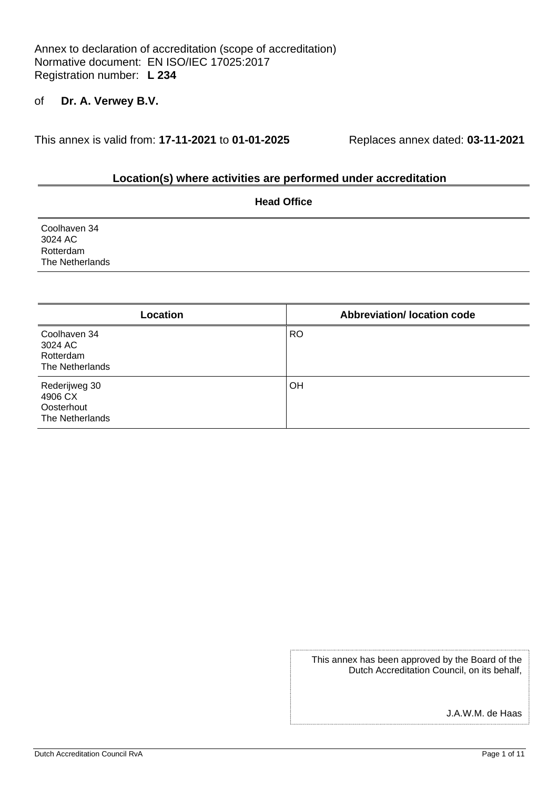Annex to declaration of accreditation (scope of accreditation) Normative document: EN ISO/IEC 17025:2017 Registration number: **L 234**

## of **Dr. A. Verwey B.V.**

This annex is valid from: **17-11-2021** to **01-01-2025** Replaces annex dated: **03-11-2021**

#### **Location(s) where activities are performed under accreditation**

|                                                         | <b>Head Office</b> |  |
|---------------------------------------------------------|--------------------|--|
| Coolhaven 34<br>3024 AC<br>Rotterdam<br>The Netherlands |                    |  |
|                                                         |                    |  |

| Location                                                  | <b>Abbreviation/Iocation code</b> |
|-----------------------------------------------------------|-----------------------------------|
| Coolhaven 34<br>3024 AC<br>Rotterdam<br>The Netherlands   | <b>RO</b>                         |
| Rederijweg 30<br>4906 CX<br>Oosterhout<br>The Netherlands | <b>OH</b>                         |

This annex has been approved by the Board of the Dutch Accreditation Council, on its behalf,

J.A.W.M. de Haas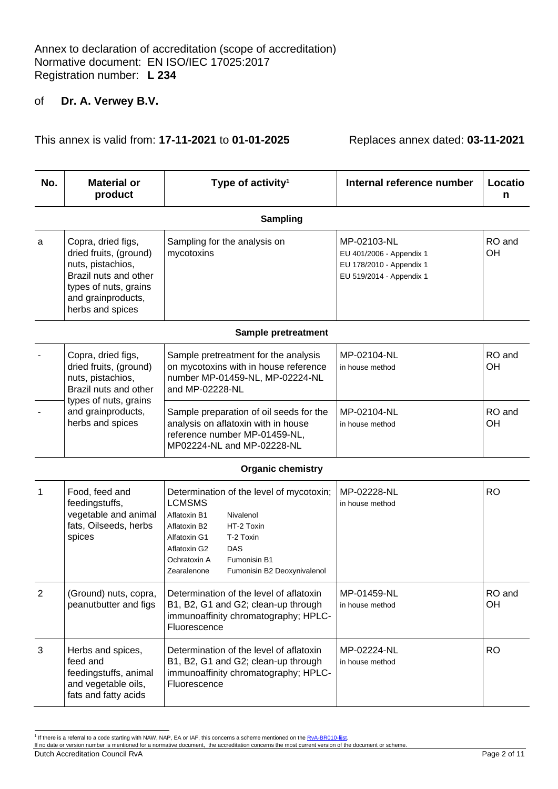This annex is valid from: **17-11-2021** to **01-01-2025** Replaces annex dated: **03-11-2021**

| No. | <b>Material or</b><br>product                                                                                                                                 | Type of activity <sup>1</sup>                                                                                                                                                                                                                          | Internal reference number                                                                       | Locatio<br>n |
|-----|---------------------------------------------------------------------------------------------------------------------------------------------------------------|--------------------------------------------------------------------------------------------------------------------------------------------------------------------------------------------------------------------------------------------------------|-------------------------------------------------------------------------------------------------|--------------|
|     |                                                                                                                                                               | <b>Sampling</b>                                                                                                                                                                                                                                        |                                                                                                 |              |
| a   | Copra, dried figs,<br>dried fruits, (ground)<br>nuts, pistachios,<br>Brazil nuts and other<br>types of nuts, grains<br>and grainproducts,<br>herbs and spices | Sampling for the analysis on<br>mycotoxins                                                                                                                                                                                                             | MP-02103-NL<br>EU 401/2006 - Appendix 1<br>EU 178/2010 - Appendix 1<br>EU 519/2014 - Appendix 1 | RO and<br>OH |
|     |                                                                                                                                                               | Sample pretreatment                                                                                                                                                                                                                                    |                                                                                                 |              |
|     | Copra, dried figs,<br>dried fruits, (ground)<br>nuts, pistachios,<br>Brazil nuts and other<br>types of nuts, grains                                           | Sample pretreatment for the analysis<br>on mycotoxins with in house reference<br>number MP-01459-NL, MP-02224-NL<br>and MP-02228-NL                                                                                                                    | MP-02104-NL<br>in house method                                                                  | RO and<br>OH |
|     | and grainproducts,<br>herbs and spices                                                                                                                        | Sample preparation of oil seeds for the<br>analysis on aflatoxin with in house<br>reference number MP-01459-NL,<br>MP02224-NL and MP-02228-NL                                                                                                          | MP-02104-NL<br>in house method                                                                  | RO and<br>OH |
|     |                                                                                                                                                               | <b>Organic chemistry</b>                                                                                                                                                                                                                               |                                                                                                 |              |
| 1   | Food, feed and<br>feedingstuffs,<br>vegetable and animal<br>fats, Oilseeds, herbs<br>spices                                                                   | Determination of the level of mycotoxin;<br><b>LCMSMS</b><br>Aflatoxin B1<br>Nivalenol<br>HT-2 Toxin<br>Aflatoxin B2<br>T-2 Toxin<br>Alfatoxin G1<br>DAS<br>Aflatoxin G2<br>Ochratoxin A<br>Fumonisin B1<br>Zearalenone<br>Fumonisin B2 Deoxynivalenol | MP-02228-NL<br>in house method                                                                  | <b>RO</b>    |
| 2   | (Ground) nuts, copra,<br>peanutbutter and figs                                                                                                                | Determination of the level of aflatoxin<br>B1, B2, G1 and G2; clean-up through<br>immunoaffinity chromatography; HPLC-<br>Fluorescence                                                                                                                 | MP-01459-NL<br>in house method                                                                  | RO and<br>OH |
| 3   | Herbs and spices,<br>feed and<br>feedingstuffs, animal<br>and vegetable oils,<br>fats and fatty acids                                                         | Determination of the level of aflatoxin<br>B1, B2, G1 and G2; clean-up through<br>immunoaffinity chromatography; HPLC-<br>Fluorescence                                                                                                                 | MP-02224-NL<br>in house method                                                                  | <b>RO</b>    |

Dutch Accreditation Council RvA Page 2 of 11

<sup>&</sup>lt;sup>1</sup> If there is a referral to a code starting with NAW, NAP, EA or IAF, this concerns a scheme mentioned on the <u>RvA-BR010-lijst</u>.<br>If no date or version number is mentioned for a normative document, the accreditation conce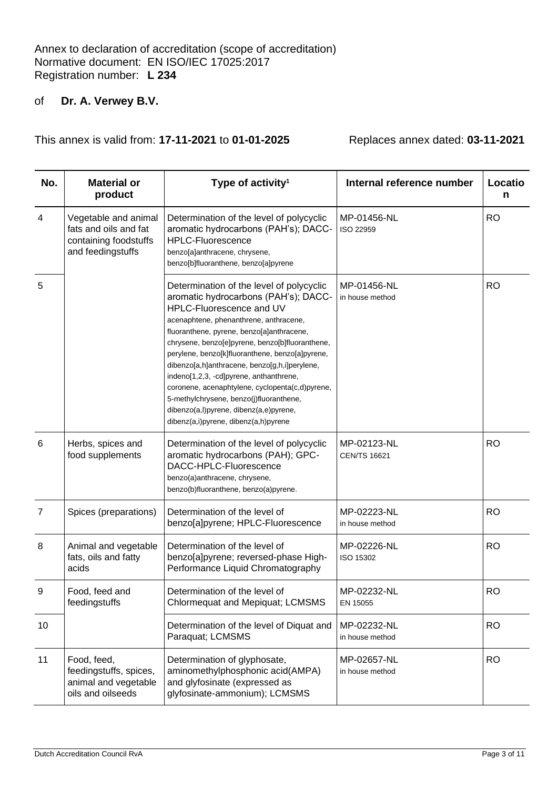| No.             | <b>Material or</b><br>product                                                               | Type of activity <sup>1</sup>                                                                                                                                                                                                                                                                                                                                                                                                                                                                                                                                                         | Internal reference number          | Locatio<br>n |
|-----------------|---------------------------------------------------------------------------------------------|---------------------------------------------------------------------------------------------------------------------------------------------------------------------------------------------------------------------------------------------------------------------------------------------------------------------------------------------------------------------------------------------------------------------------------------------------------------------------------------------------------------------------------------------------------------------------------------|------------------------------------|--------------|
| 4               | Vegetable and animal<br>fats and oils and fat<br>containing foodstuffs<br>and feedingstuffs | Determination of the level of polycyclic<br>aromatic hydrocarbons (PAH's); DACC-<br><b>HPLC-Fluorescence</b><br>benzo[a]anthracene, chrysene,<br>benzo[b]fluoranthene, benzo[a]pyrene                                                                                                                                                                                                                                                                                                                                                                                                 | MP-01456-NL<br>ISO 22959           | <b>RO</b>    |
| 5               |                                                                                             | Determination of the level of polycyclic<br>aromatic hydrocarbons (PAH's); DACC-<br>HPLC-Fluorescence and UV<br>acenaphtene, phenanthrene, anthracene,<br>fluoranthene, pyrene, benzo[a]anthracene,<br>chrysene, benzo[e]pyrene, benzo[b]fluoranthene,<br>perylene, benzo[k]fluoranthene, benzo[a]pyrene,<br>dibenzo[a,h]anthracene, benzo[g,h,i]perylene,<br>indeno[1,2,3, -cd]pyrene, anthanthrene,<br>coronene, acenaphtylene, cyclopenta(c,d)pyrene,<br>5-methylchrysene, benzo(j)fluoranthene,<br>dibenzo(a,l)pyrene, dibenz(a,e)pyrene,<br>dibenz(a,i)pyrene, dibenz(a,h)pyrene | MP-01456-NL<br>in house method     | <b>RO</b>    |
| $6\phantom{1}6$ | Herbs, spices and<br>food supplements                                                       | Determination of the level of polycyclic<br>aromatic hydrocarbons (PAH); GPC-<br>DACC-HPLC-Fluorescence<br>benzo(a)anthracene, chrysene,<br>benzo(b)fluoranthene, benzo(a)pyrene.                                                                                                                                                                                                                                                                                                                                                                                                     | MP-02123-NL<br><b>CEN/TS 16621</b> | <b>RO</b>    |
| $\overline{7}$  | Spices (preparations)                                                                       | Determination of the level of<br>benzo[a]pyrene; HPLC-Fluorescence                                                                                                                                                                                                                                                                                                                                                                                                                                                                                                                    | MP-02223-NL<br>in house method     | <b>RO</b>    |
| 8               | Animal and vegetable<br>fats, oils and fatty<br>acids                                       | Determination of the level of<br>benzo[a]pyrene; reversed-phase High-<br>Performance Liquid Chromatography                                                                                                                                                                                                                                                                                                                                                                                                                                                                            | MP-02226-NL<br>ISO 15302           | <b>RO</b>    |
| 9               | Food, feed and<br>feedingstuffs                                                             | Determination of the level of<br>Chlormequat and Mepiquat; LCMSMS                                                                                                                                                                                                                                                                                                                                                                                                                                                                                                                     | MP-02232-NL<br>EN 15055            | <b>RO</b>    |
| 10              |                                                                                             | Determination of the level of Diquat and<br>Paraquat; LCMSMS                                                                                                                                                                                                                                                                                                                                                                                                                                                                                                                          | MP-02232-NL<br>in house method     | <b>RO</b>    |
| 11              | Food, feed,<br>feedingstuffs, spices,<br>animal and vegetable<br>oils and oilseeds          | Determination of glyphosate,<br>aminomethylphosphonic acid(AMPA)<br>and glyfosinate (expressed as<br>glyfosinate-ammonium); LCMSMS                                                                                                                                                                                                                                                                                                                                                                                                                                                    | MP-02657-NL<br>in house method     | <b>RO</b>    |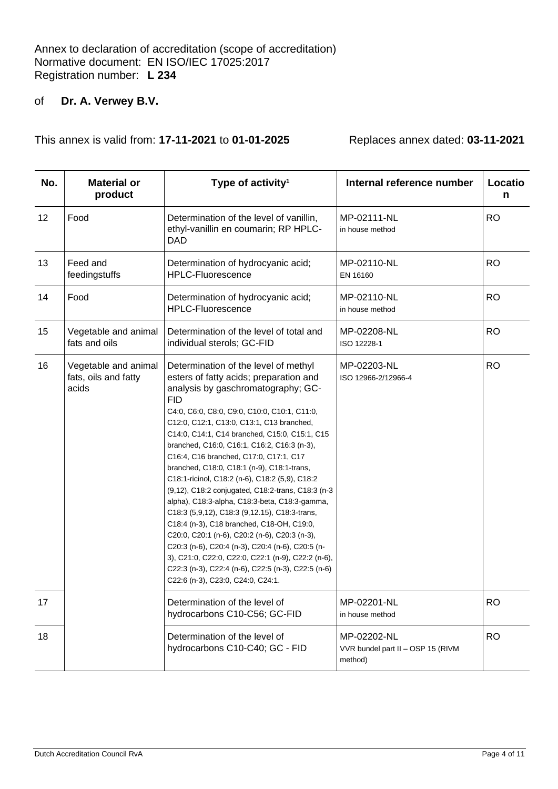| No. | <b>Material or</b><br>product                         | Type of activity <sup>1</sup>                                                                                                                                                                                                                                                                                                                                                                                                                                                                                                                                                                                                                                                                                                                                                                                                                                                                                                       | Internal reference number                                   | Locatio<br>n |
|-----|-------------------------------------------------------|-------------------------------------------------------------------------------------------------------------------------------------------------------------------------------------------------------------------------------------------------------------------------------------------------------------------------------------------------------------------------------------------------------------------------------------------------------------------------------------------------------------------------------------------------------------------------------------------------------------------------------------------------------------------------------------------------------------------------------------------------------------------------------------------------------------------------------------------------------------------------------------------------------------------------------------|-------------------------------------------------------------|--------------|
| 12  | Food                                                  | Determination of the level of vanillin,<br>ethyl-vanillin en coumarin; RP HPLC-<br><b>DAD</b>                                                                                                                                                                                                                                                                                                                                                                                                                                                                                                                                                                                                                                                                                                                                                                                                                                       | MP-02111-NL<br>in house method                              | <b>RO</b>    |
| 13  | Feed and<br>feedingstuffs                             | Determination of hydrocyanic acid;<br><b>HPLC-Fluorescence</b>                                                                                                                                                                                                                                                                                                                                                                                                                                                                                                                                                                                                                                                                                                                                                                                                                                                                      | MP-02110-NL<br>EN 16160                                     | <b>RO</b>    |
| 14  | Food                                                  | Determination of hydrocyanic acid;<br><b>HPLC-Fluorescence</b>                                                                                                                                                                                                                                                                                                                                                                                                                                                                                                                                                                                                                                                                                                                                                                                                                                                                      | MP-02110-NL<br>in house method                              | <b>RO</b>    |
| 15  | Vegetable and animal<br>fats and oils                 | Determination of the level of total and<br>individual sterols; GC-FID                                                                                                                                                                                                                                                                                                                                                                                                                                                                                                                                                                                                                                                                                                                                                                                                                                                               | MP-02208-NL<br>ISO 12228-1                                  | <b>RO</b>    |
| 16  | Vegetable and animal<br>fats, oils and fatty<br>acids | Determination of the level of methyl<br>esters of fatty acids; preparation and<br>analysis by gaschromatography; GC-<br><b>FID</b><br>C4:0, C6:0, C8:0, C9:0, C10:0, C10:1, C11:0,<br>C12:0, C12:1, C13:0, C13:1, C13 branched,<br>C14:0, C14:1, C14 branched, C15:0, C15:1, C15<br>branched, C16:0, C16:1, C16:2, C16:3 (n-3),<br>C16:4, C16 branched, C17:0, C17:1, C17<br>branched, C18:0, C18:1 (n-9), C18:1-trans,<br>C18:1-ricinol, C18:2 (n-6), C18:2 (5,9), C18:2<br>(9,12), C18:2 conjugated, C18:2-trans, C18:3 (n-3<br>alpha), C18:3-alpha, C18:3-beta, C18:3-gamma,<br>C18:3 (5,9,12), C18:3 (9,12.15), C18:3 trans,<br>C18:4 (n-3), C18 branched, C18-OH, C19:0,<br>C20:0, C20:1 (n-6), C20:2 (n-6), C20:3 (n-3),<br>C20:3 (n-6), C20:4 (n-3), C20:4 (n-6), C20:5 (n-<br>3), C21:0, C22:0, C22:0, C22:1 (n-9), C22:2 (n-6),<br>C22:3 (n-3), C22:4 (n-6), C22:5 (n-3), C22:5 (n-6)<br>C22:6 (n-3), C23:0, C24:0, C24:1. | MP-02203-NL<br>ISO 12966-2/12966-4                          | <b>RO</b>    |
| 17  |                                                       | Determination of the level of<br>hydrocarbons C10-C56; GC-FID                                                                                                                                                                                                                                                                                                                                                                                                                                                                                                                                                                                                                                                                                                                                                                                                                                                                       | MP-02201-NL<br>in house method                              | <b>RO</b>    |
| 18  |                                                       | Determination of the level of<br>hydrocarbons C10-C40; GC - FID                                                                                                                                                                                                                                                                                                                                                                                                                                                                                                                                                                                                                                                                                                                                                                                                                                                                     | MP-02202-NL<br>VVR bundel part II - OSP 15 (RIVM<br>method) | <b>RO</b>    |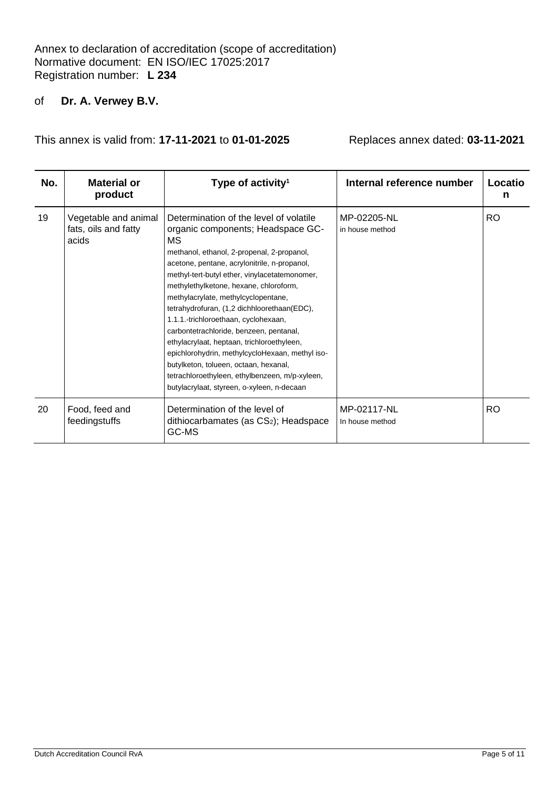| No. | <b>Material or</b><br>product                         | Type of activity <sup>1</sup>                                                                                                                                                                                                                                                                                                                                                                                                                                                                                                                                                                                                                                                                 | Internal reference number      | Locatio<br>n |
|-----|-------------------------------------------------------|-----------------------------------------------------------------------------------------------------------------------------------------------------------------------------------------------------------------------------------------------------------------------------------------------------------------------------------------------------------------------------------------------------------------------------------------------------------------------------------------------------------------------------------------------------------------------------------------------------------------------------------------------------------------------------------------------|--------------------------------|--------------|
| 19  | Vegetable and animal<br>fats, oils and fatty<br>acids | Determination of the level of volatile<br>organic components; Headspace GC-<br>МS<br>methanol, ethanol, 2-propenal, 2-propanol,<br>acetone, pentane, acrylonitrile, n-propanol,<br>methyl-tert-butyl ether, vinylacetatemonomer,<br>methylethylketone, hexane, chloroform,<br>methylacrylate, methylcyclopentane,<br>tetrahydrofuran, (1,2 dichhloorethaan(EDC),<br>1.1.1.-trichloroethaan, cyclohexaan,<br>carbontetrachloride, benzeen, pentanal,<br>ethylacrylaat, heptaan, trichloroethyleen,<br>epichlorohydrin, methylcycloHexaan, methyl iso-<br>butylketon, tolueen, octaan, hexanal,<br>tetrachloroethyleen, ethylbenzeen, m/p-xyleen,<br>butylacrylaat, styreen, o-xyleen, n-decaan | MP-02205-NL<br>in house method | RO.          |
| 20  | Food, feed and<br>feedingstuffs                       | Determination of the level of<br>dithiocarbamates (as CS <sub>2</sub> ); Headspace<br>GC-MS                                                                                                                                                                                                                                                                                                                                                                                                                                                                                                                                                                                                   | MP-02117-NL<br>In house method | RO.          |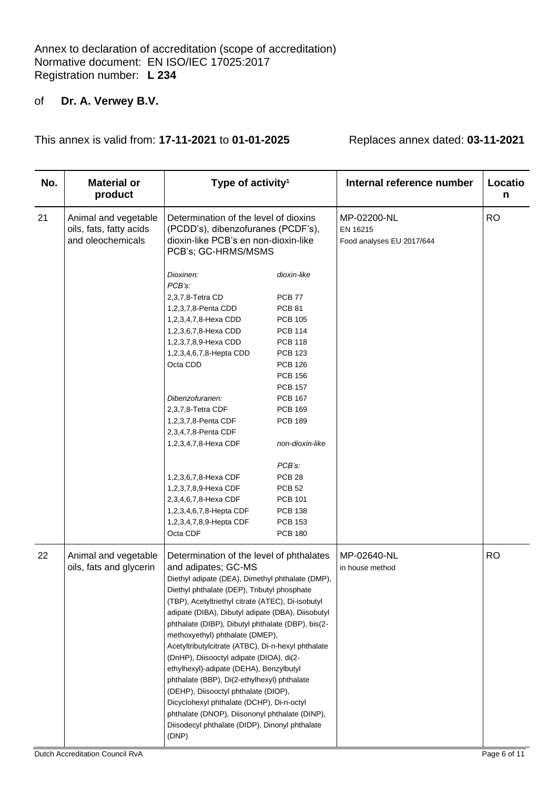| No. | <b>Material or</b><br>product                                        | Type of activity <sup>1</sup>                                                                                                                                                                                                                                                                                                                                                                                                                                                                                                                                                                                                                                                                                                                                      |                                                                                                                                                                                                                                                                                                                                             | Internal reference number                            | Locatio<br>n |
|-----|----------------------------------------------------------------------|--------------------------------------------------------------------------------------------------------------------------------------------------------------------------------------------------------------------------------------------------------------------------------------------------------------------------------------------------------------------------------------------------------------------------------------------------------------------------------------------------------------------------------------------------------------------------------------------------------------------------------------------------------------------------------------------------------------------------------------------------------------------|---------------------------------------------------------------------------------------------------------------------------------------------------------------------------------------------------------------------------------------------------------------------------------------------------------------------------------------------|------------------------------------------------------|--------------|
| 21  | Animal and vegetable<br>oils, fats, fatty acids<br>and oleochemicals | Determination of the level of dioxins<br>(PCDD's), dibenzofuranes (PCDF's),<br>dioxin-like PCB's en non-dioxin-like<br>PCB's; GC-HRMS/MSMS                                                                                                                                                                                                                                                                                                                                                                                                                                                                                                                                                                                                                         |                                                                                                                                                                                                                                                                                                                                             | MP-02200-NL<br>EN 16215<br>Food analyses EU 2017/644 | <b>RO</b>    |
|     |                                                                      | Dioxinen:<br>PCB's:                                                                                                                                                                                                                                                                                                                                                                                                                                                                                                                                                                                                                                                                                                                                                | dioxin-like                                                                                                                                                                                                                                                                                                                                 |                                                      |              |
|     |                                                                      | 2,3,7,8-Tetra CD<br>1,2,3,7,8-Penta CDD<br>1,2,3,4,7,8-Hexa CDD<br>1,2,3,6,7,8-Hexa CDD<br>1,2,3,7,8,9-Hexa CDD<br>1,2,3,4,6,7,8-Hepta CDD<br>Octa CDD<br>Dibenzofuranen:<br>2,3,7,8-Tetra CDF<br>1,2,3,7,8-Penta CDF<br>2,3,4,7,8-Penta CDF<br>1,2,3,4,7,8-Hexa CDF<br>1,2,3,6,7,8-Hexa CDF<br>1,2,3,7,8,9-Hexa CDF<br>2,3,4,6,7,8-Hexa CDF<br>1,2,3,4,6,7,8-Hepta CDF<br>1,2,3,4,7,8,9-Hepta CDF                                                                                                                                                                                                                                                                                                                                                                 | <b>PCB 77</b><br><b>PCB 81</b><br><b>PCB 105</b><br><b>PCB 114</b><br><b>PCB 118</b><br><b>PCB 123</b><br><b>PCB 126</b><br><b>PCB 156</b><br><b>PCB 157</b><br><b>PCB 167</b><br><b>PCB 169</b><br><b>PCB 189</b><br>non-dioxin-like<br>PCB's:<br>PCB <sub>28</sub><br><b>PCB 52</b><br><b>PCB 101</b><br><b>PCB 138</b><br><b>PCB 153</b> |                                                      |              |
|     |                                                                      | Octa CDF                                                                                                                                                                                                                                                                                                                                                                                                                                                                                                                                                                                                                                                                                                                                                           | <b>PCB 180</b>                                                                                                                                                                                                                                                                                                                              |                                                      |              |
| 22  | Animal and vegetable<br>oils, fats and glycerin                      | Determination of the level of phthalates<br>and adipates; GC-MS<br>Diethyl adipate (DEA), Dimethyl phthalate (DMP),<br>Diethyl phthalate (DEP), Tributyl phosphate<br>(TBP), Acetyltriethyl citrate (ATEC), Di-isobutyl<br>adipate (DIBA), Dibutyl adipate (DBA), Diisobutyl<br>phthalate (DIBP), Dibutyl phthalate (DBP), bis(2-<br>methoxyethyl) phthalate (DMEP),<br>Acetyltributylcitrate (ATBC), Di-n-hexyl phthalate<br>(DnHP), Diisooctyl adipate (DIOA), di(2-<br>ethylhexyl)-adipate (DEHA), Benzylbutyl<br>phthalate (BBP), Di(2-ethylhexyl) phthalate<br>(DEHP), Diisooctyl phthalate (DIOP),<br>Dicyclohexyl phthalate (DCHP), Di-n-octyl<br>phthalate (DNOP), Diisononyl phthalate (DINP),<br>Diisodecyl phthalate (DIDP), Dinonyl phthalate<br>(DNP) |                                                                                                                                                                                                                                                                                                                                             | MP-02640-NL<br>in house method                       | <b>RO</b>    |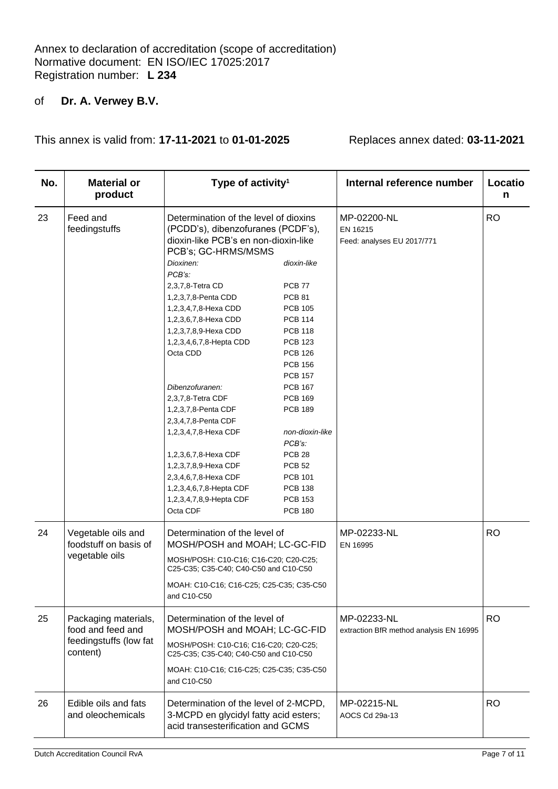| No. | <b>Material or</b><br>product                                                   | Type of activity <sup>1</sup>                                                                                                                                                                                                                                                                                                                                       |                                                                                                                                                                                                                     | Internal reference number                              | Locatio<br>n |
|-----|---------------------------------------------------------------------------------|---------------------------------------------------------------------------------------------------------------------------------------------------------------------------------------------------------------------------------------------------------------------------------------------------------------------------------------------------------------------|---------------------------------------------------------------------------------------------------------------------------------------------------------------------------------------------------------------------|--------------------------------------------------------|--------------|
| 23  | Feed and<br>feedingstuffs                                                       | Determination of the level of dioxins<br>(PCDD's), dibenzofuranes (PCDF's),<br>dioxin-like PCB's en non-dioxin-like<br>PCB's; GC-HRMS/MSMS<br>Dioxinen:<br>PCB's:<br>2,3,7,8-Tetra CD<br>1,2,3,7,8-Penta CDD<br>1,2,3,4,7,8-Hexa CDD<br>1,2,3,6,7,8-Hexa CDD<br>1,2,3,7,8,9-Hexa CDD<br>1,2,3,4,6,7,8-Hepta CDD<br>Octa CDD<br>Dibenzofuranen:<br>2,3,7,8-Tetra CDF | dioxin-like<br>PCB <sub>77</sub><br><b>PCB 81</b><br><b>PCB 105</b><br><b>PCB 114</b><br><b>PCB 118</b><br><b>PCB 123</b><br><b>PCB 126</b><br><b>PCB 156</b><br><b>PCB 157</b><br><b>PCB 167</b><br><b>PCB 169</b> | MP-02200-NL<br>EN 16215<br>Feed: analyses EU 2017/771  | <b>RO</b>    |
|     |                                                                                 | 1,2,3,7,8-Penta CDF<br>2,3,4,7,8-Penta CDF<br>1,2,3,4,7,8-Hexa CDF<br>1,2,3,6,7,8-Hexa CDF<br>1,2,3,7,8,9-Hexa CDF<br>2,3,4,6,7,8-Hexa CDF<br>1,2,3,4,6,7,8-Hepta CDF<br>1,2,3,4,7,8,9-Hepta CDF<br>Octa CDF                                                                                                                                                        | <b>PCB 189</b><br>non-dioxin-like<br>PCB's:<br>PCB <sub>28</sub><br><b>PCB 52</b><br><b>PCB 101</b><br><b>PCB 138</b><br><b>PCB 153</b><br><b>PCB 180</b>                                                           |                                                        |              |
| 24  | Vegetable oils and<br>foodstuff on basis of<br>vegetable oils                   | Determination of the level of<br>MOSH/POSH and MOAH; LC-GC-FID<br>MOSH/POSH: C10-C16; C16-C20; C20-C25;<br>C25-C35; C35-C40; C40-C50 and C10-C50<br>MOAH: C10-C16; C16-C25; C25-C35; C35-C50<br>and C10-C50                                                                                                                                                         |                                                                                                                                                                                                                     | MP-02233-NL<br>EN 16995                                | <b>RO</b>    |
| 25  | Packaging materials,<br>food and feed and<br>feedingstuffs (low fat<br>content) | Determination of the level of<br>MOSH/POSH and MOAH; LC-GC-FID<br>MOSH/POSH: C10-C16; C16-C20; C20-C25;<br>C25-C35; C35-C40; C40-C50 and C10-C50<br>MOAH: C10-C16; C16-C25; C25-C35; C35-C50<br>and C10-C50                                                                                                                                                         |                                                                                                                                                                                                                     | MP-02233-NL<br>extraction BfR method analysis EN 16995 | <b>RO</b>    |
| 26  | Edible oils and fats<br>and oleochemicals                                       | Determination of the level of 2-MCPD,<br>3-MCPD en glycidyl fatty acid esters;<br>acid transesterification and GCMS                                                                                                                                                                                                                                                 |                                                                                                                                                                                                                     | MP-02215-NL<br>AOCS Cd 29a-13                          | RO.          |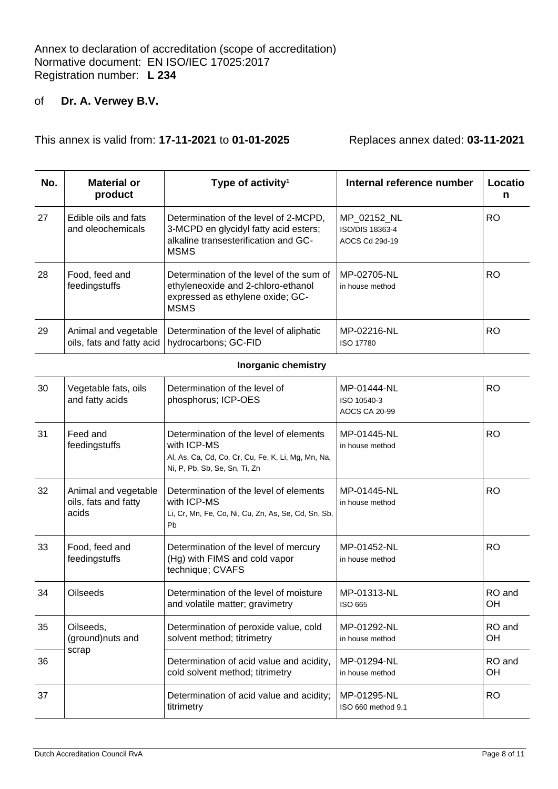This annex is valid from: **17-11-2021** to **01-01-2025** Replaces annex dated: **03-11-2021**

| No. | Material or<br>product                            | Type of activity <sup>1</sup>                                                                                                         | Internal reference number                        | Locatio<br>n |
|-----|---------------------------------------------------|---------------------------------------------------------------------------------------------------------------------------------------|--------------------------------------------------|--------------|
| 27  | Edible oils and fats<br>and oleochemicals         | Determination of the level of 2-MCPD,<br>3-MCPD en glycidyl fatty acid esters;<br>alkaline transesterification and GC-<br><b>MSMS</b> | MP 02152 NL<br>ISO/DIS 18363-4<br>AOCS Cd 29d-19 | RO           |
| 28  | Food, feed and<br>feedingstuffs                   | Determination of the level of the sum of<br>ethyleneoxide and 2-chloro-ethanol<br>expressed as ethylene oxide; GC-<br><b>MSMS</b>     | MP-02705-NL<br>in house method                   | RO.          |
| 29  | Animal and vegetable<br>oils, fats and fatty acid | Determination of the level of aliphatic<br>hydrocarbons; GC-FID                                                                       | MP-02216-NL<br>ISO 17780                         | RO           |

#### **Inorganic chemistry**

| 30 | Vegetable fats, oils<br>and fatty acids               | Determination of the level of<br>phosphorus; ICP-OES                                                                                         | MP-01444-NL<br>ISO 10540-3<br><b>AOCS CA 20-99</b> | <b>RO</b>           |
|----|-------------------------------------------------------|----------------------------------------------------------------------------------------------------------------------------------------------|----------------------------------------------------|---------------------|
| 31 | Feed and<br>feedingstuffs                             | Determination of the level of elements<br>with ICP-MS<br>Al, As, Ca, Cd, Co, Cr, Cu, Fe, K, Li, Mg, Mn, Na,<br>Ni, P, Pb, Sb, Se, Sn, Ti, Zn | MP-01445-NL<br>in house method                     | <b>RO</b>           |
| 32 | Animal and vegetable<br>oils, fats and fatty<br>acids | Determination of the level of elements<br>with ICP-MS<br>Li, Cr, Mn, Fe, Co, Ni, Cu, Zn, As, Se, Cd, Sn, Sb,<br>Pb                           | MP-01445-NL<br>in house method                     | <b>RO</b>           |
| 33 | Food, feed and<br>feedingstuffs                       | Determination of the level of mercury<br>(Hg) with FIMS and cold vapor<br>technique; CVAFS                                                   | MP-01452-NL<br>in house method                     | <b>RO</b>           |
| 34 | <b>Oilseeds</b>                                       | Determination of the level of moisture<br>and volatile matter; gravimetry                                                                    | MP-01313-NL<br>ISO 665                             | RO and<br><b>OH</b> |
| 35 | Oilseeds,<br>(ground)nuts and                         | Determination of peroxide value, cold<br>solvent method; titrimetry                                                                          | MP-01292-NL<br>in house method                     | RO and<br>OH        |
| 36 | scrap                                                 | Determination of acid value and acidity,<br>cold solvent method; titrimetry                                                                  | MP-01294-NL<br>in house method                     | RO and<br>OH        |
| 37 |                                                       | Determination of acid value and acidity;<br>titrimetry                                                                                       | MP-01295-NL<br>ISO 660 method 9.1                  | <b>RO</b>           |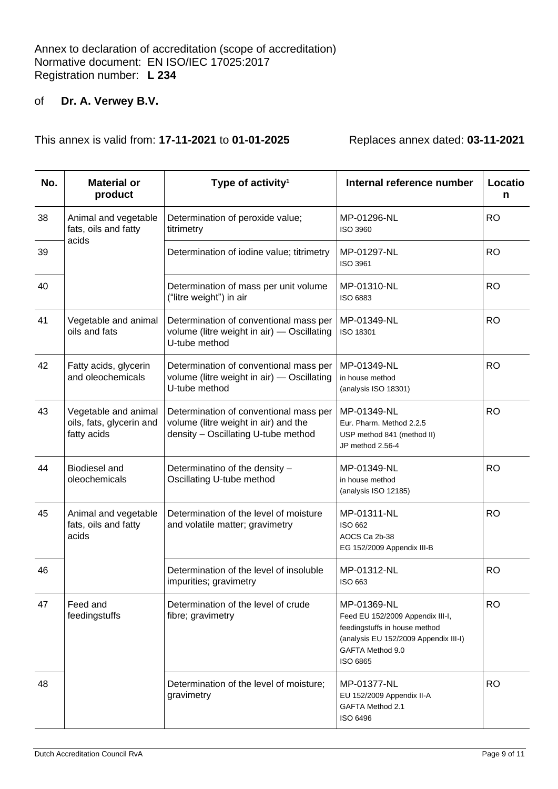| No. | <b>Material or</b><br>product                                   | Type of activity <sup>1</sup>                                                                                         | Internal reference number                                                                                                                                 | Locatio<br>n |
|-----|-----------------------------------------------------------------|-----------------------------------------------------------------------------------------------------------------------|-----------------------------------------------------------------------------------------------------------------------------------------------------------|--------------|
| 38  | Animal and vegetable<br>fats, oils and fatty<br>acids           | Determination of peroxide value;<br>titrimetry                                                                        | MP-01296-NL<br>ISO 3960                                                                                                                                   | <b>RO</b>    |
| 39  |                                                                 | Determination of iodine value; titrimetry                                                                             | MP-01297-NL<br>ISO 3961                                                                                                                                   | <b>RO</b>    |
| 40  |                                                                 | Determination of mass per unit volume<br>("litre weight") in air                                                      | MP-01310-NL<br>ISO 6883                                                                                                                                   | <b>RO</b>    |
| 41  | Vegetable and animal<br>oils and fats                           | Determination of conventional mass per<br>volume (litre weight in air) - Oscillating<br>U-tube method                 | MP-01349-NL<br>ISO 18301                                                                                                                                  | <b>RO</b>    |
| 42  | Fatty acids, glycerin<br>and oleochemicals                      | Determination of conventional mass per<br>volume (litre weight in air) - Oscillating<br>U-tube method                 | MP-01349-NL<br>in house method<br>(analysis ISO 18301)                                                                                                    | <b>RO</b>    |
| 43  | Vegetable and animal<br>oils, fats, glycerin and<br>fatty acids | Determination of conventional mass per<br>volume (litre weight in air) and the<br>density - Oscillating U-tube method | MP-01349-NL<br>Eur. Pharm. Method 2.2.5<br>USP method 841 (method II)<br>JP method 2.56-4                                                                 | <b>RO</b>    |
| 44  | <b>Biodiesel and</b><br>oleochemicals                           | Determinatino of the density -<br>Oscillating U-tube method                                                           | MP-01349-NL<br>in house method<br>(analysis ISO 12185)                                                                                                    | <b>RO</b>    |
| 45  | Animal and vegetable<br>fats, oils and fatty<br>acids           | Determination of the level of moisture<br>and volatile matter; gravimetry                                             | MP-01311-NL<br><b>ISO 662</b><br>AOCS Ca 2b-38<br>EG 152/2009 Appendix III-B                                                                              | <b>RO</b>    |
| 46  |                                                                 | Determination of the level of insoluble<br>impurities; gravimetry                                                     | MP-01312-NL<br>ISO 663                                                                                                                                    | <b>RO</b>    |
| 47  | Feed and<br>feedingstuffs                                       | Determination of the level of crude<br>fibre; gravimetry                                                              | MP-01369-NL<br>Feed EU 152/2009 Appendix III-I,<br>feedingstuffs in house method<br>(analysis EU 152/2009 Appendix III-I)<br>GAFTA Method 9.0<br>ISO 6865 | <b>RO</b>    |
| 48  |                                                                 | Determination of the level of moisture;<br>gravimetry                                                                 | MP-01377-NL<br>EU 152/2009 Appendix II-A<br>GAFTA Method 2.1<br>ISO 6496                                                                                  | <b>RO</b>    |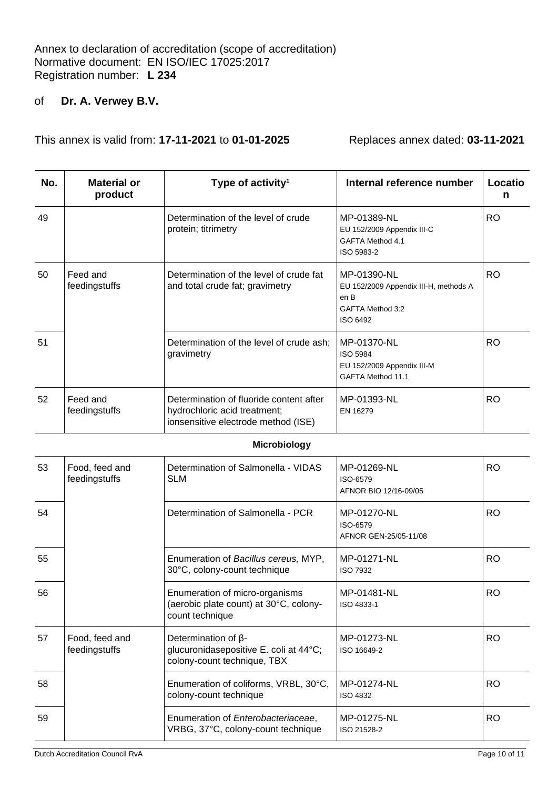| No. | <b>Material or</b><br>product   | Type of activity <sup>1</sup>                                                                                  | Internal reference number                                                                    | Locatio<br>n |
|-----|---------------------------------|----------------------------------------------------------------------------------------------------------------|----------------------------------------------------------------------------------------------|--------------|
| 49  |                                 | Determination of the level of crude<br>protein; titrimetry                                                     | MP-01389-NL<br>EU 152/2009 Appendix III-C<br>GAFTA Method 4.1<br>ISO 5983-2                  | <b>RO</b>    |
| 50  | Feed and<br>feedingstuffs       | Determination of the level of crude fat<br>and total crude fat; gravimetry                                     | MP-01390-NL<br>EU 152/2009 Appendix III-H, methods A<br>en B<br>GAFTA Method 3:2<br>ISO 6492 | <b>RO</b>    |
| 51  |                                 | Determination of the level of crude ash;<br>gravimetry                                                         | MP-01370-NL<br><b>ISO 5984</b><br>EU 152/2009 Appendix III-M<br>GAFTA Method 11.1            | <b>RO</b>    |
| 52  | Feed and<br>feedingstuffs       | Determination of fluoride content after<br>hydrochloric acid treatment;<br>ionsensitive electrode method (ISE) | MP-01393-NL<br>EN 16279                                                                      | <b>RO</b>    |
|     |                                 | <b>Microbiology</b>                                                                                            |                                                                                              |              |
| 53  | Food, feed and<br>feedingstuffs | Determination of Salmonella - VIDAS<br><b>SLM</b>                                                              | MP-01269-NL<br>ISO-6579<br>AFNOR BIO 12/16-09/05                                             | <b>RO</b>    |
| 54  |                                 | Determination of Salmonella - PCR                                                                              | MP-01270-NL<br>ISO-6579<br>AFNOR GEN-25/05-11/08                                             | <b>RO</b>    |
| 55  |                                 | Enumeration of Bacillus cereus, MYP,<br>30°C, colony-count technique                                           | MP-01271-NL<br><b>ISO 7932</b>                                                               | <b>RO</b>    |
| 56  |                                 | Enumeration of micro-organisms<br>(aerobic plate count) at 30°C, colony-<br>count technique                    | MP-01481-NL<br>ISO 4833-1                                                                    | <b>RO</b>    |
| 57  | Food, feed and<br>feedingstuffs | Determination of $\beta$ -<br>glucuronidasepositive E. coli at 44°C;<br>colony-count technique, TBX            | MP-01273-NL<br>ISO 16649-2                                                                   | <b>RO</b>    |
| 58  |                                 | Enumeration of coliforms, VRBL, 30°C,<br>colony-count technique                                                | MP-01274-NL<br><b>ISO 4832</b>                                                               | <b>RO</b>    |
| 59  |                                 | Enumeration of Enterobacteriaceae,<br>VRBG, 37°C, colony-count technique                                       | MP-01275-NL<br>ISO 21528-2                                                                   | <b>RO</b>    |